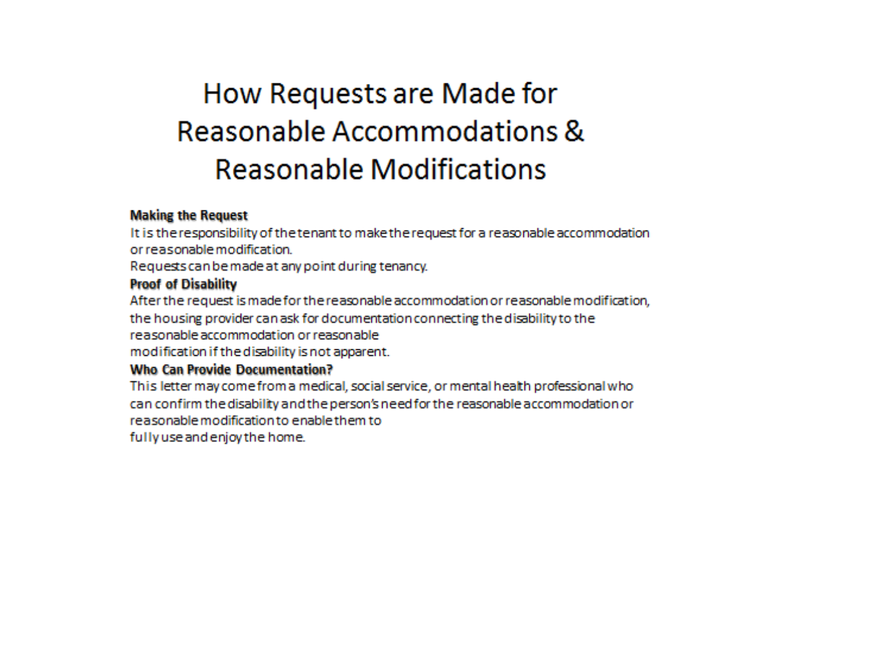# How Requests are Made for Reasonable Accommodations & **Reasonable Modifications**

#### **Making the Request**

It is the responsibility of the tenant to make the request for a reasonable accommodation or reasonable modification

Requests can be made at any point during tenancy.

#### **Proof of Disability**

After the request is made for the reasonable accommodation or reasonable modification, the housing provider can ask for documentation connecting the disability to the reasonable accommodation or reasonable modification if the disability is not apparent.

### **Who Can Provide Documentation?**

This letter may come from a medical, social service, or mental health professional who can confirm the disability and the person's need for the reasonable accommodation or reasonable modification to enable them to fully use and enjoy the home.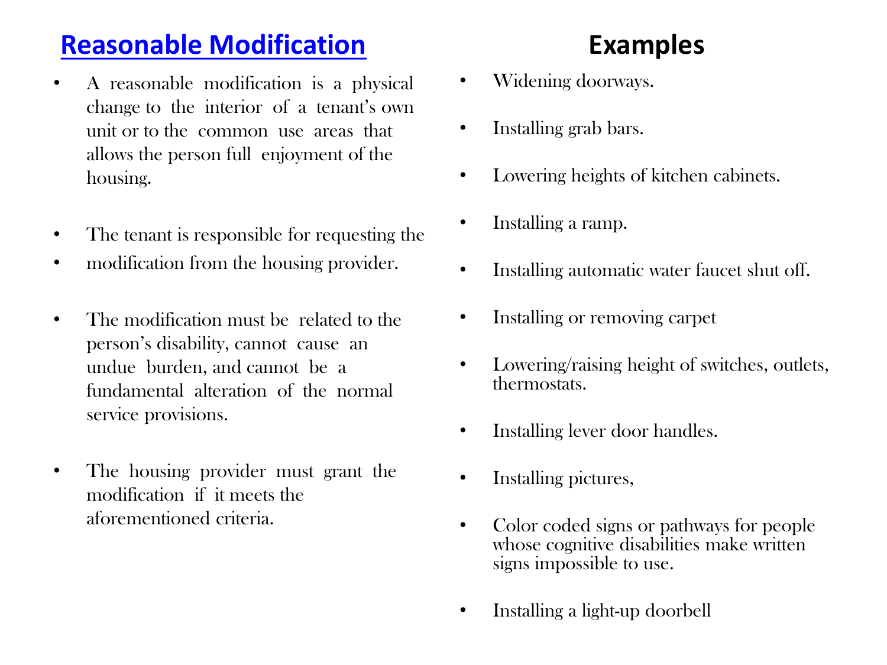## **[Reasonable Modification](https://www.youtube.com/watch?v=lmNpJXJ02qk)**

- A reasonable modification is a physical change to the interior of a tenant's own unit or to the common use areas that allows the person full enjoyment of the housing.
- The tenant is responsible for requesting the
- modification from the housing provider.
- The modification must be related to the person's disability, cannot cause an undue burden, and cannot be a fundamental alteration of the normal service provisions.
- The housing provider must grant the modification if it meets the aforementioned criteria.

# **Examples**

- Widening doorways.
- Installing grab bars.
- Lowering heights of kitchen cabinets.
- Installing a ramp.
- Installing automatic water faucet shut off.
- Installing or removing carpet
- Lowering/raising height of switches, outlets, thermostats.
- Installing lever door handles.
- Installing pictures,
- Color coded signs or pathways for people whose cognitive disabilities make written signs impossible to use.
- Installing a light-up doorbell